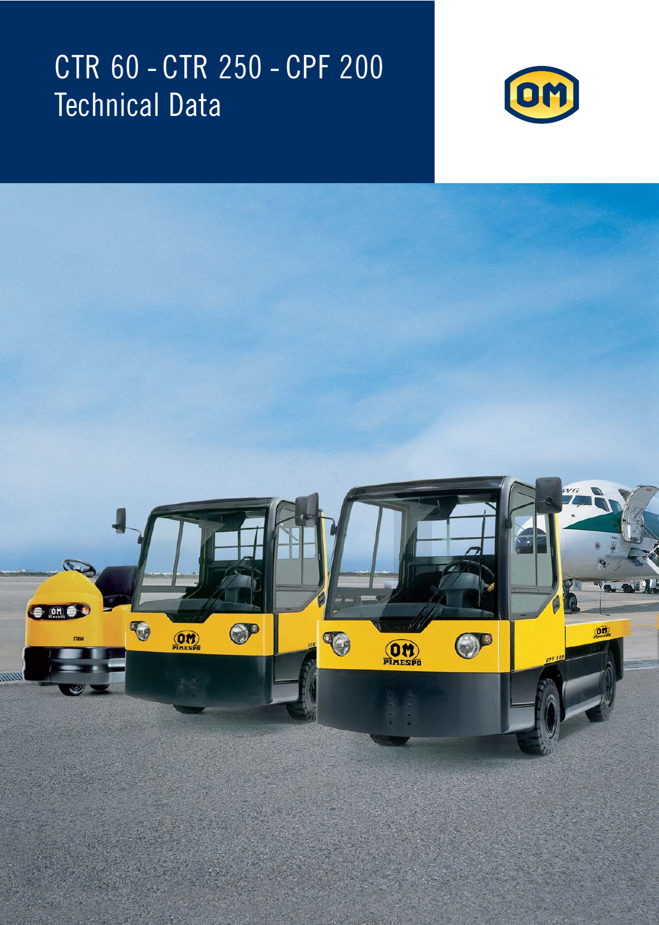# CTR 60 - CTR 250 - CPF 200 Technical Data



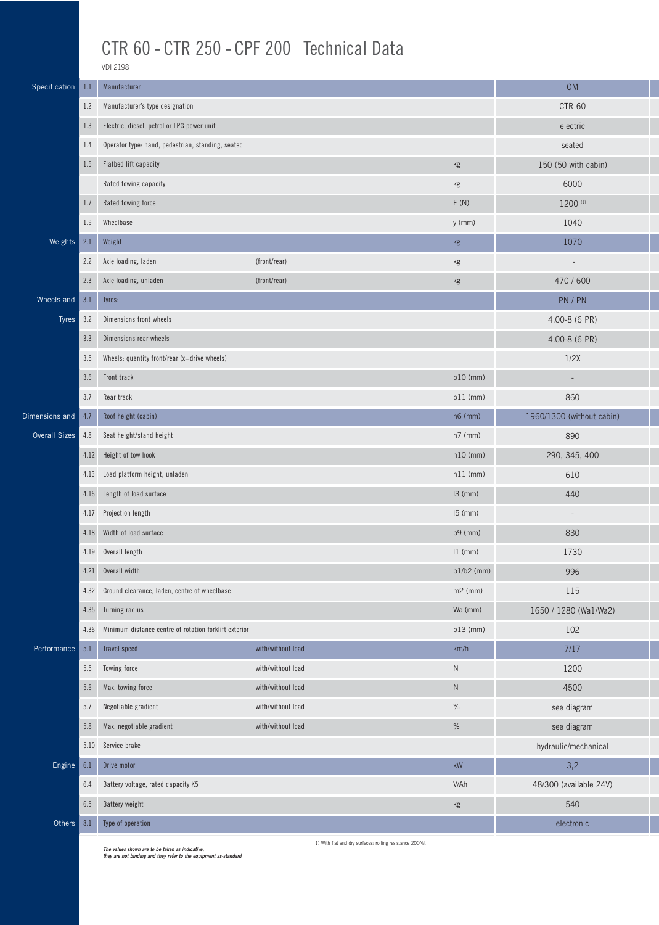### CTR 60 - CTR 250 - CPF 200 Technical Data

VDI 2198

| Specification        | 1.1  | Manufacturer                                                                                        |                                                          |               | <b>OM</b>                 |
|----------------------|------|-----------------------------------------------------------------------------------------------------|----------------------------------------------------------|---------------|---------------------------|
|                      | 1.2  | Manufacturer's type designation                                                                     |                                                          |               | <b>CTR 60</b>             |
|                      | 1.3  | Electric, diesel, petrol or LPG power unit                                                          |                                                          |               | electric                  |
|                      | 1.4  | Operator type: hand, pedestrian, standing, seated<br>Flatbed lift capacity<br>Rated towing capacity |                                                          |               | seated                    |
|                      | 1.5  |                                                                                                     |                                                          | $\mathsf{kg}$ | 150 (50 with cabin)       |
|                      |      |                                                                                                     |                                                          | $\mathsf{kg}$ | 6000                      |
|                      | 1.7  | Rated towing force                                                                                  |                                                          | F(N)          | 1200 (1)                  |
|                      | 1.9  | Wheelbase                                                                                           |                                                          | $y$ (mm)      | 1040                      |
| Weights              | 2.1  | Weight                                                                                              |                                                          | kg            | 1070                      |
|                      | 2.2  | Axle loading, laden                                                                                 | (front/rear)                                             | kg            | $\overline{\phantom{m}}$  |
|                      | 2.3  | Axle loading, unladen                                                                               | (front/rear)                                             | kg            | 470 / 600                 |
| Wheels and           | 3.1  | Tyres:                                                                                              |                                                          |               | PN / PN                   |
| Tyres                | 3.2  | Dimensions front wheels                                                                             |                                                          |               | 4.00-8 (6 PR)             |
|                      | 3.3  | Dimensions rear wheels                                                                              |                                                          |               | 4.00-8 (6 PR)             |
|                      | 3.5  | Wheels: quantity front/rear (x=drive wheels)                                                        |                                                          |               | 1/2X                      |
|                      | 3.6  | Front track                                                                                         |                                                          | $b10$ (mm)    | $\overline{\phantom{a}}$  |
|                      | 3.7  | Rear track                                                                                          |                                                          | $b11$ (mm)    | 860                       |
| Dimensions and       | 4.7  | Roof height (cabin)                                                                                 |                                                          | $h6$ (mm)     | 1960/1300 (without cabin) |
| <b>Overall Sizes</b> | 4.8  | Seat height/stand height                                                                            |                                                          | $h7$ (mm)     | 890                       |
|                      | 4.12 | Height of tow hook                                                                                  |                                                          | $h10$ (mm)    | 290, 345, 400             |
|                      | 4.13 | Load platform height, unladen                                                                       |                                                          | $h11$ (mm)    | 610                       |
|                      | 4.16 | Length of load surface                                                                              |                                                          | $13$ (mm)     | 440                       |
|                      | 4.17 | Projection length                                                                                   |                                                          | $15$ (mm)     | $\overline{\phantom{a}}$  |
|                      | 4.18 | Width of load surface                                                                               |                                                          | b9 (mm)       | 830                       |
|                      | 4.19 | Overall length                                                                                      |                                                          | $11$ (mm)     | 1730                      |
|                      | 4.21 | Overall width                                                                                       |                                                          | $b1/b2$ (mm)  | 996                       |
|                      | 4.32 | Ground clearance, laden, centre of wheelbase                                                        |                                                          | $m2$ (mm)     | 115                       |
|                      | 4.35 | Turning radius                                                                                      |                                                          | Wa (mm)       | 1650 / 1280 (Wa1/Wa2)     |
|                      | 4.36 | Minimum distance centre of rotation forklift exterior                                               |                                                          | $b13$ (mm)    | 102                       |
| Performance          | 5.1  | Travel speed                                                                                        | with/without load                                        | km/h          | 7/17                      |
|                      | 5.5  | Towing force                                                                                        | with/without load                                        | ${\sf N}$     | 1200                      |
|                      | 5.6  | Max. towing force                                                                                   | with/without load                                        | ${\sf N}$     | 4500                      |
|                      | 5.7  | Negotiable gradient                                                                                 | with/without load                                        | $\%$          | see diagram               |
|                      | 5.8  | Max. negotiable gradient                                                                            | with/without load                                        | $\%$          | see diagram               |
|                      | 5.10 | Service brake                                                                                       |                                                          |               | hydraulic/mechanical      |
| Engine               | 6.1  | Drive motor                                                                                         |                                                          | kW            | 3,2                       |
|                      | 6.4  | Battery voltage, rated capacity K5                                                                  |                                                          | V/Ah          | 48/300 (available 24V)    |
|                      | 6.5  | Battery weight                                                                                      |                                                          | kg            | 540                       |
| Others               | 8.1  | Type of operation                                                                                   |                                                          |               | electronic                |
|                      |      | The values shown are to be taken as indicative.                                                     | 1) With flat and dry surfaces: rolling resistance 200N/t |               |                           |

**The values shown are to be taken as indicative, they are not binding and they refer to the equipment as-standard**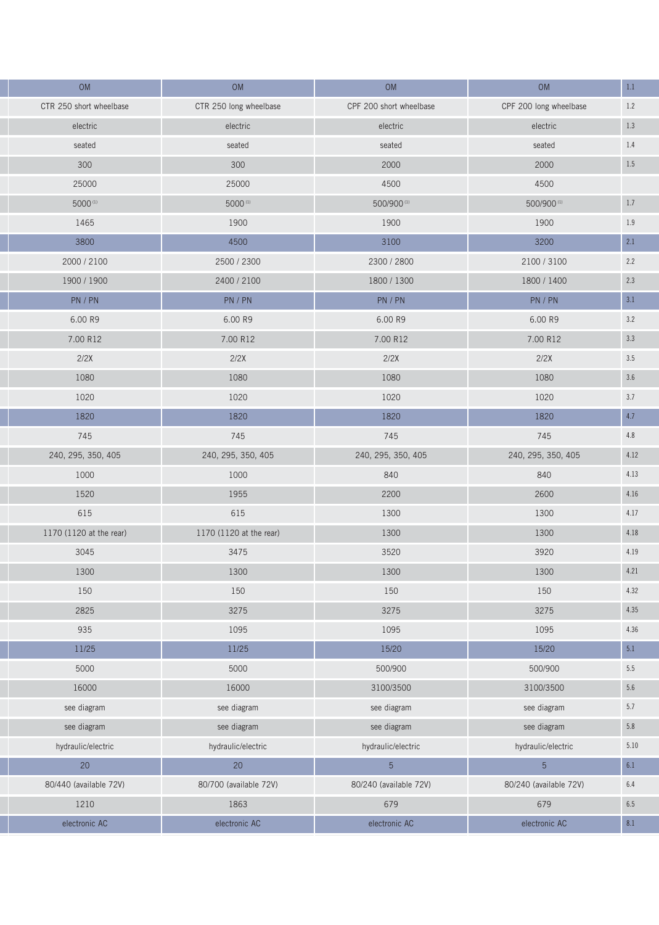| OM                      | OM                      | OM                      | OM                     | $1.1\,$ |
|-------------------------|-------------------------|-------------------------|------------------------|---------|
| CTR 250 short wheelbase | CTR 250 long wheelbase  | CPF 200 short wheelbase | CPF 200 long wheelbase | $1.2\,$ |
| electric                | electric                | electric                | electric               | $1.3\,$ |
| seated                  | seated                  | seated                  | seated                 | 1.4     |
| 300                     | 300                     | 2000                    | 2000                   | $1.5\,$ |
| 25000                   | 25000                   | 4500                    | 4500                   |         |
| 5000(1)                 | 5000(1)                 | 500/900(1)              | 500/900(1)             | $1.7\,$ |
| 1465                    | 1900                    | 1900                    | 1900                   | 1.9     |
| 3800                    | 4500                    | 3100                    | 3200                   | 2.1     |
| 2000 / 2100             | 2500 / 2300             | 2300 / 2800             | 2100 / 3100            | 2.2     |
| 1900 / 1900             | 2400 / 2100             | 1800 / 1300             | 1800 / 1400            | $2.3\,$ |
| PN / PN                 | PN / PN                 | PN / PN                 | PN / PN                | $3.1\,$ |
| 6.00 R9                 | 6.00 R9                 | 6.00 R9                 | 6.00 R9                | 3.2     |
| 7.00 R12                | 7.00 R12                | 7.00 R12                | 7.00 R12               | $3.3\,$ |
| 2/2X                    | 2/2X                    | 2/2X                    | 2/2X                   | $3.5\,$ |
| 1080                    | 1080                    | 1080                    | 1080                   | $3.6\,$ |
| 1020                    | 1020                    | 1020                    | 1020                   | $3.7\,$ |
| 1820                    | 1820                    | 1820                    | 1820                   | 4.7     |
| 745                     | 745                     | 745                     | 745                    | 4.8     |
| 240, 295, 350, 405      | 240, 295, 350, 405      | 240, 295, 350, 405      | 240, 295, 350, 405     | 4.12    |
| 1000                    | 1000                    | 840                     | 840                    | 4.13    |
| 1520                    | 1955                    | 2200                    | 2600                   | 4.16    |
| 615                     | 615                     | 1300                    | 1300                   | 4.17    |
| 1170 (1120 at the rear) | 1170 (1120 at the rear) | 1300                    | 1300                   | 4.18    |
| 3045                    | 3475                    | 3520                    | 3920                   | 4.19    |
| 1300                    | 1300                    | 1300                    | 1300                   | 4.21    |
| 150                     | 150                     | 150                     | 150                    | 4.32    |
| 2825                    | 3275                    | 3275                    | 3275                   | 4.35    |
| 935                     | 1095                    | 1095                    | 1095                   | 4.36    |
| 11/25                   | 11/25                   | 15/20                   | 15/20                  | 5.1     |
| 5000                    | 5000                    | 500/900                 | 500/900                | 5.5     |
| 16000                   | 16000                   | 3100/3500               | 3100/3500              | $5.6\,$ |
| see diagram             | see diagram             | see diagram             | see diagram            | $5.7\,$ |
| see diagram             | see diagram             | see diagram             | see diagram            | $5.8\,$ |
| hydraulic/electric      | hydraulic/electric      | hydraulic/electric      | hydraulic/electric     | 5.10    |
| $20\,$                  | $20\,$                  | $\overline{5}$          | $\overline{5}$         | 6.1     |
| 80/440 (available 72V)  | 80/700 (available 72V)  | 80/240 (available 72V)  | 80/240 (available 72V) | 6.4     |
| 1210                    | 1863                    | 679                     | 679                    | $6.5\,$ |
| electronic AC           | electronic AC           | electronic AC           | electronic AC          | 8.1     |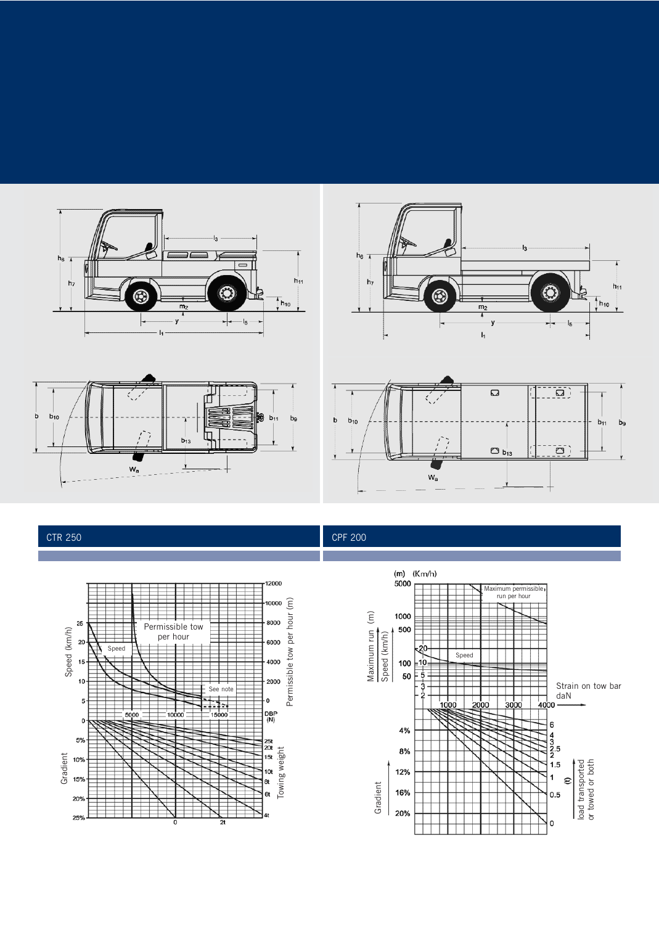









### CTR 250 CPF 200

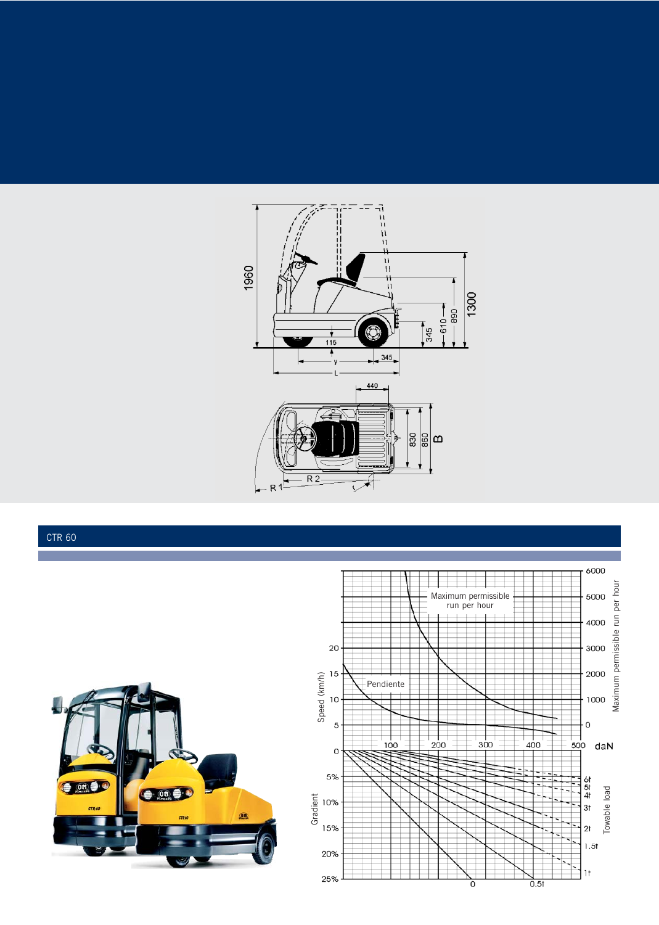